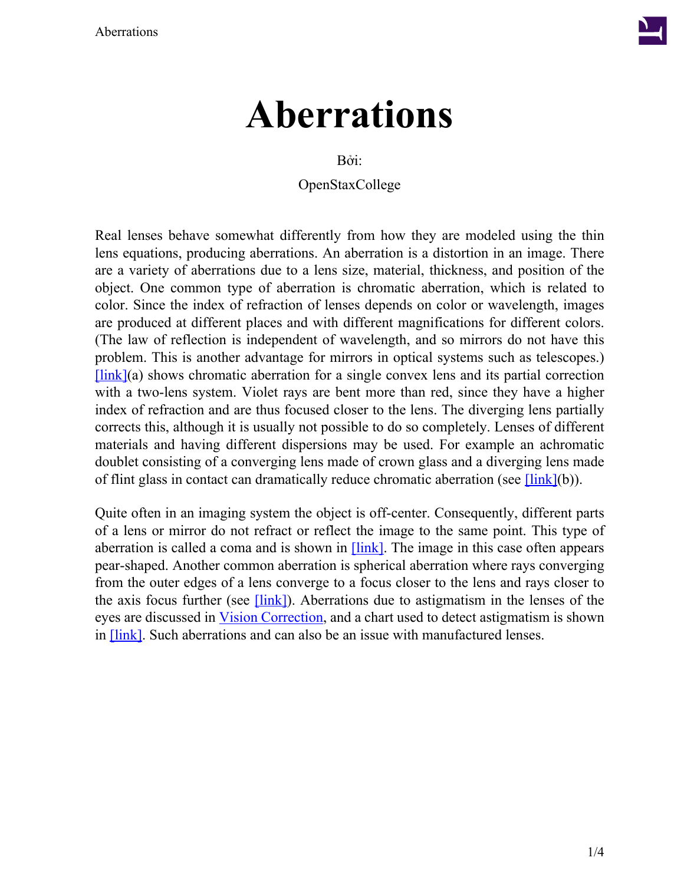

# **Aberrations**

Bởi:

OpenStaxCollege

Real lenses behave somewhat differently from how they are modeled using the thin lens equations, producing aberrations. An aberration is a distortion in an image. There are a variety of aberrations due to a lens size, material, thickness, and position of the object. One common type of aberration is chromatic aberration, which is related to color. Since the index of refraction of lenses depends on color or wavelength, images are produced at different places and with different magnifications for different colors. (The law of reflection is independent of wavelength, and so mirrors do not have this problem. This is another advantage for mirrors in optical systems such as telescopes.)  $[\text{link}](a)$  shows chromatic aberration for a single convex lens and its partial correction with a two-lens system. Violet rays are bent more than red, since they have a higher index of refraction and are thus focused closer to the lens. The diverging lens partially corrects this, although it is usually not possible to do so completely. Lenses of different materials and having different dispersions may be used. For example an achromatic doublet consisting of a converging lens made of crown glass and a diverging lens made of flint glass in contact can dramatically reduce chromatic aberration (see [\[link\]](#page-1-0)(b)).

Quite often in an imaging system the object is off-center. Consequently, different parts of a lens or mirror do not refract or reflect the image to the same point. This type of aberration is called a coma and is shown in  $[\text{link}]$ . The image in this case often appears pear-shaped. Another common aberration is spherical aberration where rays converging from the outer edges of a lens converge to a focus closer to the lens and rays closer to the axis focus further (see  $[\text{link}]$ ). Aberrations due to astigmatism in the lenses of the eyes are discussed in Vision [Correction](/m42484), and a chart used to detect astigmatism is shown in [\[link\]](/m42484#import-auto-id2929041). Such aberrations and can also be an issue with manufactured lenses.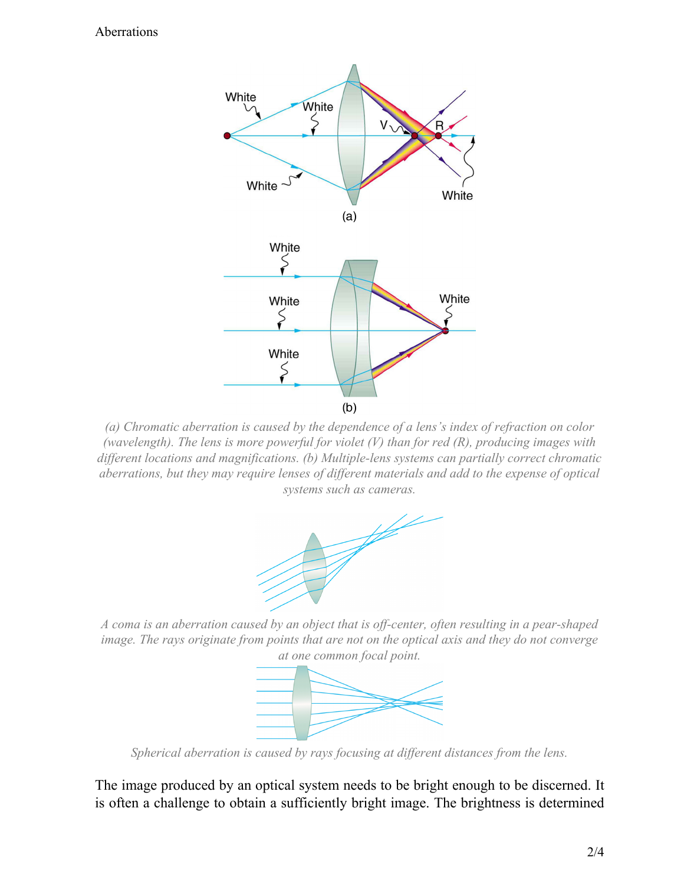#### <span id="page-1-0"></span>Aberrations



<span id="page-1-1"></span>*(a) Chromatic aberration is caused by the dependence of a lens's index of refraction on color (wavelength). The lens is more powerful for violet (V) than for red (R), producing images with different locations and magnifications. (b) Multiple-lens systems can partially correct chromatic aberrations, but they may require lenses of different materials and add to the expense of optical systems such as cameras.*



<span id="page-1-2"></span>*A coma is an aberration caused by an object that is off-center, often resulting in a pear-shaped image. The rays originate from points that are not on the optical axis and they do not converge at one common focal point.*



*Spherical aberration is caused by rays focusing at different distances from the lens.*

The image produced by an optical system needs to be bright enough to be discerned. It is often a challenge to obtain a sufficiently bright image. The brightness is determined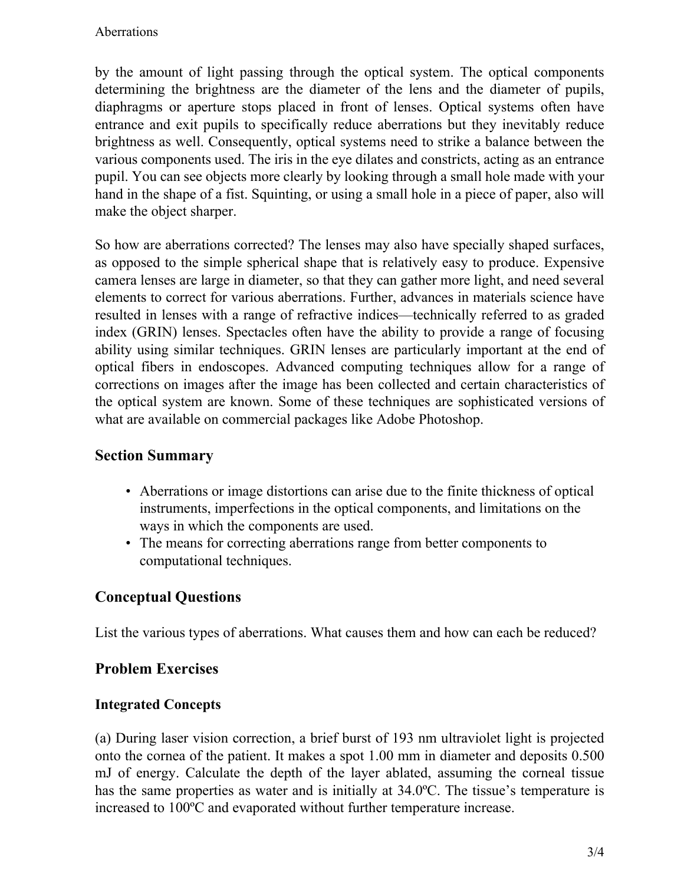by the amount of light passing through the optical system. The optical components determining the brightness are the diameter of the lens and the diameter of pupils, diaphragms or aperture stops placed in front of lenses. Optical systems often have entrance and exit pupils to specifically reduce aberrations but they inevitably reduce brightness as well. Consequently, optical systems need to strike a balance between the various components used. The iris in the eye dilates and constricts, acting as an entrance pupil. You can see objects more clearly by looking through a small hole made with your hand in the shape of a fist. Squinting, or using a small hole in a piece of paper, also will make the object sharper.

So how are aberrations corrected? The lenses may also have specially shaped surfaces, as opposed to the simple spherical shape that is relatively easy to produce. Expensive camera lenses are large in diameter, so that they can gather more light, and need several elements to correct for various aberrations. Further, advances in materials science have resulted in lenses with a range of refractive indices—technically referred to as graded index (GRIN) lenses. Spectacles often have the ability to provide a range of focusing ability using similar techniques. GRIN lenses are particularly important at the end of optical fibers in endoscopes. Advanced computing techniques allow for a range of corrections on images after the image has been collected and certain characteristics of the optical system are known. Some of these techniques are sophisticated versions of what are available on commercial packages like Adobe Photoshop.

### **Section Summary**

- Aberrations or image distortions can arise due to the finite thickness of optical instruments, imperfections in the optical components, and limitations on the ways in which the components are used.
- The means for correcting aberrations range from better components to computational techniques.

# **Conceptual Questions**

List the various types of aberrations. What causes them and how can each be reduced?

# **Problem Exercises**

### **Integrated Concepts**

(a) During laser vision correction, a brief burst of 193 nm ultraviolet light is projected onto the cornea of the patient. It makes a spot 1.00 mm in diameter and deposits 0.500 mJ of energy. Calculate the depth of the layer ablated, assuming the corneal tissue has the same properties as water and is initially at 34.0ºC. The tissue's temperature is increased to 100ºC and evaporated without further temperature increase.